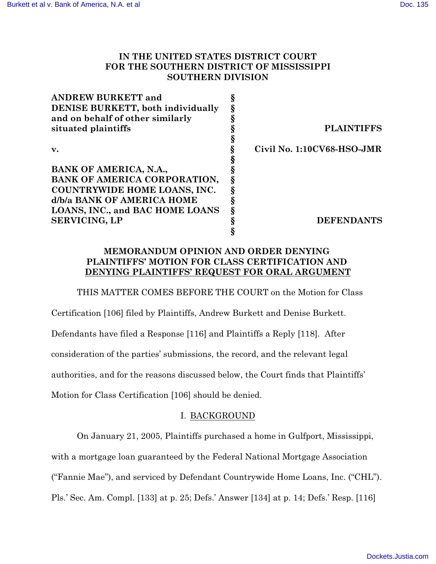# **IN THE UNITED STATES DISTRICT COURT FOR THE SOUTHERN DISTRICT OF MISSISSIPPI SOUTHERN DIVISION**

| <b>ANDREW BURKETT and</b>           |                            |
|-------------------------------------|----------------------------|
| DENISE BURKETT, both individually   |                            |
| and on behalf of other similarly    |                            |
| situated plaintiffs                 | <b>PLAINTIFFS</b>          |
|                                     |                            |
| v.                                  | Civil No. 1:10CV68-HSO-JMR |
|                                     |                            |
| BANK OF AMERICA, N.A.,              |                            |
| BANK OF AMERICA CORPORATION,        |                            |
| <b>COUNTRYWIDE HOME LOANS, INC.</b> |                            |
| d/b/a BANK OF AMERICA HOME          |                            |
| LOANS, INC., and BAC HOME LOANS     |                            |
| <b>SERVICING, LP</b>                | <b>DEFENDANTS</b>          |
|                                     |                            |

# **MEMORANDUM OPINION AND ORDER DENYING PLAINTIFFS' MOTION FOR CLASS CERTIFICATION AND DENYING PLAINTIFFS' REQUEST FOR ORAL ARGUMENT**

THIS MATTER COMES BEFORE THE COURT on the Motion for Class

Certification [106] filed by Plaintiffs, Andrew Burkett and Denise Burkett. Defendants have filed a Response [116] and Plaintiffs a Reply [118]. After consideration of the parties' submissions, the record, and the relevant legal authorities, and for the reasons discussed below, the Court finds that Plaintiffs' Motion for Class Certification [106] should be denied.

# I. BACKGROUND

On January 21, 2005, Plaintiffs purchased a home in Gulfport, Mississippi,

with a mortgage loan guaranteed by the Federal National Mortgage Association

("Fannie Mae"), and serviced by Defendant Countrywide Home Loans, Inc. ("CHL").

Pls.' Sec. Am. Compl. [133] at p. 25; Defs.' Answer [134] at p. 14; Defs.' Resp. [116]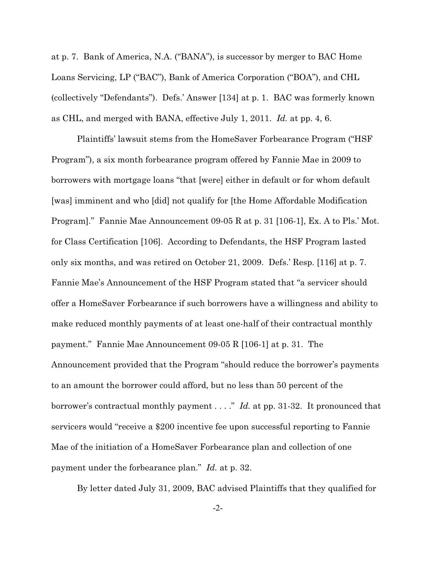at p. 7. Bank of America, N.A. ("BANA"), is successor by merger to BAC Home Loans Servicing, LP ("BAC"), Bank of America Corporation ("BOA"), and CHL (collectively "Defendants"). Defs.' Answer [134] at p. 1. BAC was formerly known as CHL, and merged with BANA, effective July 1, 2011. *Id.* at pp. 4, 6.

Plaintiffs' lawsuit stems from the HomeSaver Forbearance Program ("HSF Program"), a six month forbearance program offered by Fannie Mae in 2009 to borrowers with mortgage loans "that [were] either in default or for whom default [was] imminent and who [did] not qualify for [the Home Affordable Modification Program]." Fannie Mae Announcement 09-05 R at p. 31 [106-1], Ex. A to Pls.' Mot. for Class Certification [106]. According to Defendants, the HSF Program lasted only six months, and was retired on October 21, 2009. Defs.' Resp. [116] at p. 7. Fannie Mae's Announcement of the HSF Program stated that "a servicer should offer a HomeSaver Forbearance if such borrowers have a willingness and ability to make reduced monthly payments of at least one-half of their contractual monthly payment." Fannie Mae Announcement 09-05 R [106-1] at p. 31. The Announcement provided that the Program "should reduce the borrower's payments to an amount the borrower could afford, but no less than 50 percent of the borrower's contractual monthly payment . . . ." *Id.* at pp. 31-32. It pronounced that servicers would "receive a \$200 incentive fee upon successful reporting to Fannie Mae of the initiation of a HomeSaver Forbearance plan and collection of one payment under the forbearance plan." *Id.* at p. 32.

By letter dated July 31, 2009, BAC advised Plaintiffs that they qualified for

-2-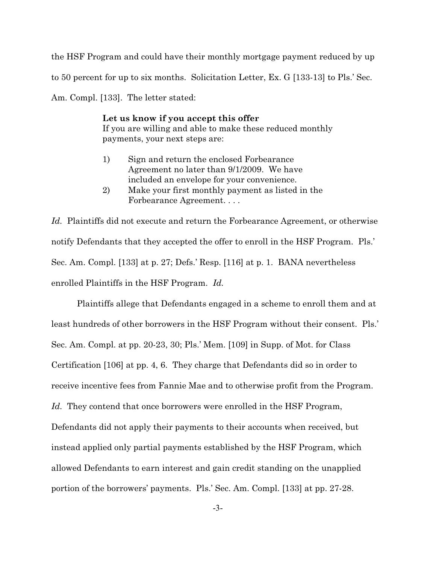the HSF Program and could have their monthly mortgage payment reduced by up to 50 percent for up to six months. Solicitation Letter, Ex. G [133-13] to Pls.' Sec. Am. Compl. [133]. The letter stated:

> **Let us know if you accept this offer** If you are willing and able to make these reduced monthly payments, your next steps are:

- 1) Sign and return the enclosed Forbearance Agreement no later than 9/1/2009. We have included an envelope for your convenience.
- 2) Make your first monthly payment as listed in the Forbearance Agreement. . . .

*Id.* Plaintiffs did not execute and return the Forbearance Agreement, or otherwise notify Defendants that they accepted the offer to enroll in the HSF Program. Pls.' Sec. Am. Compl. [133] at p. 27; Defs.' Resp. [116] at p. 1. BANA nevertheless enrolled Plaintiffs in the HSF Program. *Id.*

Plaintiffs allege that Defendants engaged in a scheme to enroll them and at least hundreds of other borrowers in the HSF Program without their consent. Pls.' Sec. Am. Compl. at pp. 20-23, 30; Pls.' Mem. [109] in Supp. of Mot. for Class Certification [106] at pp. 4, 6. They charge that Defendants did so in order to receive incentive fees from Fannie Mae and to otherwise profit from the Program. Id. They contend that once borrowers were enrolled in the HSF Program, Defendants did not apply their payments to their accounts when received, but instead applied only partial payments established by the HSF Program, which allowed Defendants to earn interest and gain credit standing on the unapplied portion of the borrowers' payments. Pls.' Sec. Am. Compl. [133] at pp. 27-28.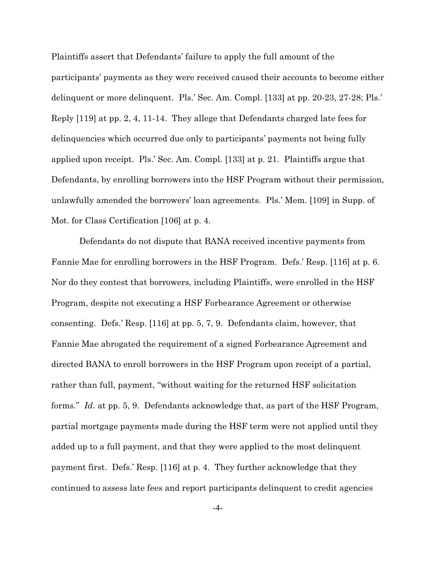Plaintiffs assert that Defendants' failure to apply the full amount of the participants' payments as they were received caused their accounts to become either delinquent or more delinquent. Pls.' Sec. Am. Compl. [133] at pp. 20-23, 27-28; Pls.' Reply [119] at pp. 2, 4, 11-14. They allege that Defendants charged late fees for delinquencies which occurred due only to participants' payments not being fully applied upon receipt. Pls.' Sec. Am. Compl. [133] at p. 21. Plaintiffs argue that Defendants, by enrolling borrowers into the HSF Program without their permission, unlawfully amended the borrowers' loan agreements. Pls.' Mem. [109] in Supp. of Mot. for Class Certification [106] at p. 4.

 Defendants do not dispute that BANA received incentive payments from Fannie Mae for enrolling borrowers in the HSF Program. Defs.' Resp. [116] at p. 6. Nor do they contest that borrowers, including Plaintiffs, were enrolled in the HSF Program, despite not executing a HSF Forbearance Agreement or otherwise consenting. Defs.' Resp. [116] at pp. 5, 7, 9. Defendants claim, however, that Fannie Mae abrogated the requirement of a signed Forbearance Agreement and directed BANA to enroll borrowers in the HSF Program upon receipt of a partial, rather than full, payment, "without waiting for the returned HSF solicitation forms." *Id.* at pp. 5, 9. Defendants acknowledge that, as part of the HSF Program, partial mortgage payments made during the HSF term were not applied until they added up to a full payment, and that they were applied to the most delinquent payment first. Defs.' Resp. [116] at p. 4. They further acknowledge that they continued to assess late fees and report participants delinquent to credit agencies

-4-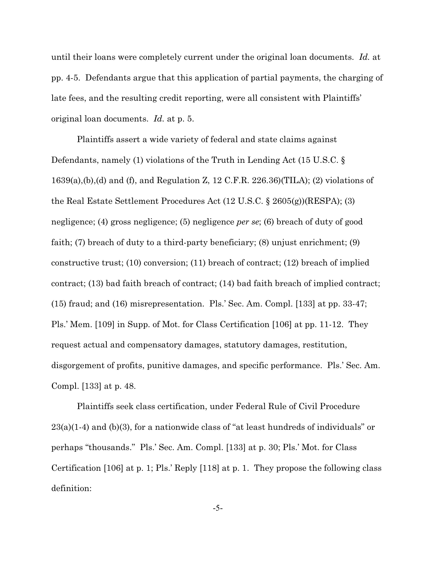until their loans were completely current under the original loan documents. *Id.* at pp. 4-5. Defendants argue that this application of partial payments, the charging of late fees, and the resulting credit reporting, were all consistent with Plaintiffs' original loan documents. *Id.* at p. 5.

Plaintiffs assert a wide variety of federal and state claims against Defendants, namely (1) violations of the Truth in Lending Act (15 U.S.C. § 1639(a),(b),(d) and (f), and Regulation Z, 12 C.F.R. 226.36)(TILA); (2) violations of the Real Estate Settlement Procedures Act (12 U.S.C. § 2605(g))(RESPA); (3) negligence; (4) gross negligence; (5) negligence *per se*; (6) breach of duty of good faith; (7) breach of duty to a third-party beneficiary; (8) unjust enrichment; (9) constructive trust; (10) conversion; (11) breach of contract; (12) breach of implied contract; (13) bad faith breach of contract; (14) bad faith breach of implied contract; (15) fraud; and (16) misrepresentation. Pls.' Sec. Am. Compl. [133] at pp. 33-47; Pls.' Mem. [109] in Supp. of Mot. for Class Certification [106] at pp. 11-12. They request actual and compensatory damages, statutory damages, restitution, disgorgement of profits, punitive damages, and specific performance. Pls.' Sec. Am. Compl. [133] at p. 48.

Plaintiffs seek class certification, under Federal Rule of Civil Procedure  $23(a)(1-4)$  and (b)(3), for a nationwide class of "at least hundreds of individuals" or perhaps "thousands." Pls.' Sec. Am. Compl. [133] at p. 30; Pls.' Mot. for Class Certification [106] at p. 1; Pls.' Reply [118] at p. 1. They propose the following class definition:

-5-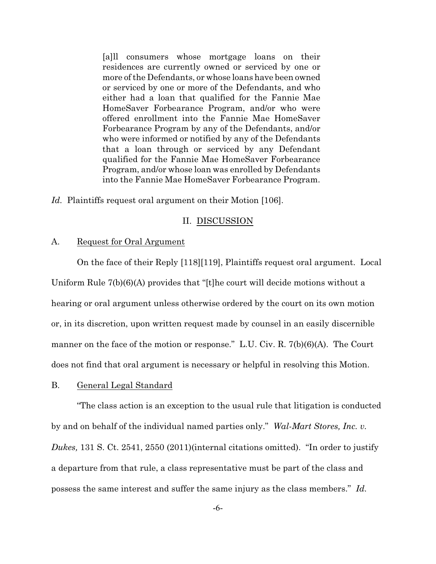[a]ll consumers whose mortgage loans on their residences are currently owned or serviced by one or more of the Defendants, or whose loans have been owned or serviced by one or more of the Defendants, and who either had a loan that qualified for the Fannie Mae HomeSaver Forbearance Program, and/or who were offered enrollment into the Fannie Mae HomeSaver Forbearance Program by any of the Defendants, and/or who were informed or notified by any of the Defendants that a loan through or serviced by any Defendant qualified for the Fannie Mae HomeSaver Forbearance Program, and/or whose loan was enrolled by Defendants into the Fannie Mae HomeSaver Forbearance Program.

*Id.* Plaintiffs request oral argument on their Motion [106].

## II. DISCUSSION

## A. Request for Oral Argument

On the face of their Reply [118][119], Plaintiffs request oral argument. Local Uniform Rule 7(b)(6)(A) provides that "[t]he court will decide motions without a hearing or oral argument unless otherwise ordered by the court on its own motion or, in its discretion, upon written request made by counsel in an easily discernible manner on the face of the motion or response." L.U. Civ. R. 7(b)(6)(A). The Court does not find that oral argument is necessary or helpful in resolving this Motion.

## B. General Legal Standard

"The class action is an exception to the usual rule that litigation is conducted by and on behalf of the individual named parties only." *Wal-Mart Stores, Inc. v. Dukes,* 131 S. Ct. 2541, 2550 (2011)(internal citations omitted). "In order to justify a departure from that rule, a class representative must be part of the class and possess the same interest and suffer the same injury as the class members." *Id.* 

-6-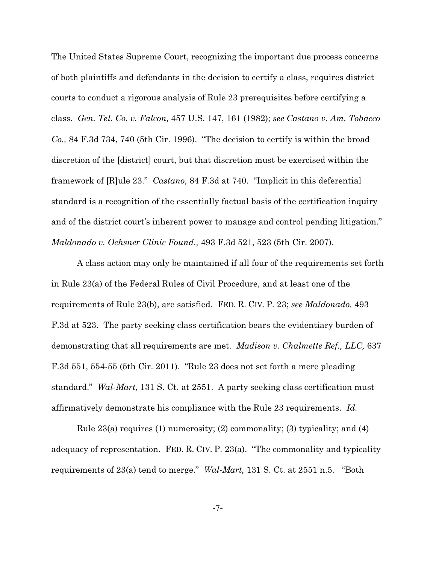The United States Supreme Court, recognizing the important due process concerns of both plaintiffs and defendants in the decision to certify a class, requires district courts to conduct a rigorous analysis of Rule 23 prerequisites before certifying a class. *Gen. Tel. Co. v. Falcon,* 457 U.S. 147, 161 (1982); *see Castano v. Am. Tobacco Co.,* 84 F.3d 734, 740 (5th Cir. 1996). "The decision to certify is within the broad discretion of the [district] court, but that discretion must be exercised within the framework of [R]ule 23." *Castano,* 84 F.3d at 740. "Implicit in this deferential standard is a recognition of the essentially factual basis of the certification inquiry and of the district court's inherent power to manage and control pending litigation." *Maldonado v. Ochsner Clinic Found.,* 493 F.3d 521, 523 (5th Cir. 2007).

A class action may only be maintained if all four of the requirements set forth in Rule 23(a) of the Federal Rules of Civil Procedure, and at least one of the requirements of Rule 23(b), are satisfied. FED. R. CIV. P. 23; *see Maldonado,* 493 F.3d at 523. The party seeking class certification bears the evidentiary burden of demonstrating that all requirements are met. *Madison v. Chalmette Ref., LLC,* 637 F.3d 551, 554-55 (5th Cir. 2011). "Rule 23 does not set forth a mere pleading standard." *Wal-Mart,* 131 S. Ct. at 2551. A party seeking class certification must affirmatively demonstrate his compliance with the Rule 23 requirements. *Id.*

Rule 23(a) requires (1) numerosity; (2) commonality; (3) typicality; and (4) adequacy of representation. FED. R. CIV. P. 23(a). "The commonality and typicality requirements of 23(a) tend to merge." *Wal-Mart,* 131 S. Ct. at 2551 n.5. "Both

-7-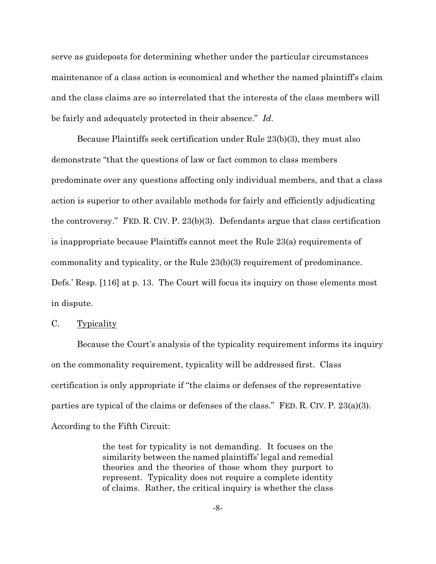serve as guideposts for determining whether under the particular circumstances maintenance of a class action is economical and whether the named plaintiff's claim and the class claims are so interrelated that the interests of the class members will be fairly and adequately protected in their absence." *Id.*

Because Plaintiffs seek certification under Rule 23(b)(3), they must also demonstrate "that the questions of law or fact common to class members predominate over any questions affecting only individual members, and that a class action is superior to other available methods for fairly and efficiently adjudicating the controversy." FED. R. CIV. P. 23(b)(3). Defendants argue that class certification is inappropriate because Plaintiffs cannot meet the Rule 23(a) requirements of commonality and typicality, or the Rule 23(b)(3) requirement of predominance. Defs.' Resp. [116] at p. 13. The Court will focus its inquiry on those elements most in dispute.

## C. Typicality

Because the Court's analysis of the typicality requirement informs its inquiry on the commonality requirement, typicality will be addressed first. Class certification is only appropriate if "the claims or defenses of the representative parties are typical of the claims or defenses of the class." FED. R. CIV. P. 23(a)(3). According to the Fifth Circuit:

> the test for typicality is not demanding. It focuses on the similarity between the named plaintiffs' legal and remedial theories and the theories of those whom they purport to represent. Typicality does not require a complete identity of claims. Rather, the critical inquiry is whether the class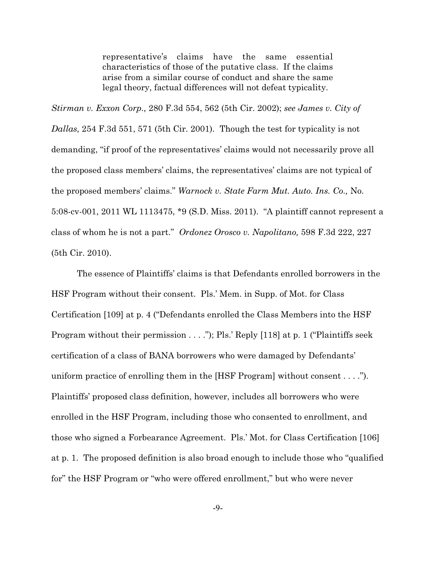representative's claims have the same essential characteristics of those of the putative class. If the claims arise from a similar course of conduct and share the same legal theory, factual differences will not defeat typicality.

*Stirman v. Exxon Corp.,* 280 F.3d 554, 562 (5th Cir. 2002); *see James v. City of Dallas,* 254 F.3d 551, 571 (5th Cir. 2001). Though the test for typicality is not demanding, "if proof of the representatives' claims would not necessarily prove all the proposed class members' claims, the representatives' claims are not typical of the proposed members' claims." *Warnock v. State Farm Mut. Auto. Ins. Co.,* No. 5:08-cv-001, 2011 WL 1113475, \*9 (S.D. Miss. 2011). "A plaintiff cannot represent a class of whom he is not a part." *Ordonez Orosco v. Napolitano,* 598 F.3d 222, 227 (5th Cir. 2010).

The essence of Plaintiffs' claims is that Defendants enrolled borrowers in the HSF Program without their consent. Pls.' Mem. in Supp. of Mot. for Class Certification [109] at p. 4 ("Defendants enrolled the Class Members into the HSF Program without their permission . . . ."); Pls.' Reply [118] at p. 1 ("Plaintiffs seek certification of a class of BANA borrowers who were damaged by Defendants' uniform practice of enrolling them in the [HSF Program] without consent . . . ."). Plaintiffs' proposed class definition, however, includes all borrowers who were enrolled in the HSF Program, including those who consented to enrollment, and those who signed a Forbearance Agreement. Pls.' Mot. for Class Certification [106] at p. 1. The proposed definition is also broad enough to include those who "qualified for" the HSF Program or "who were offered enrollment," but who were never

-9-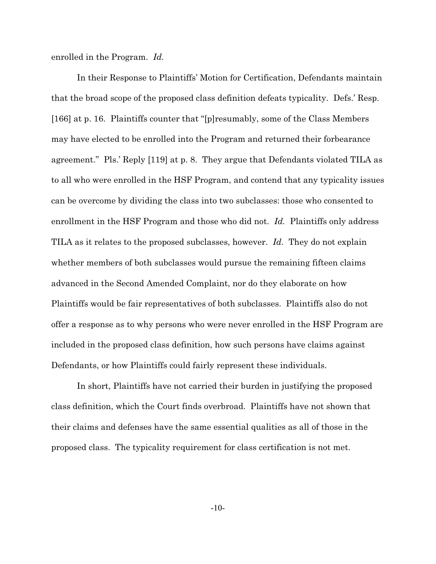enrolled in the Program. *Id.*

In their Response to Plaintiffs' Motion for Certification, Defendants maintain that the broad scope of the proposed class definition defeats typicality. Defs.' Resp. [166] at p. 16. Plaintiffs counter that "[p]resumably, some of the Class Members may have elected to be enrolled into the Program and returned their forbearance agreement." Pls.' Reply [119] at p. 8. They argue that Defendants violated TILA as to all who were enrolled in the HSF Program, and contend that any typicality issues can be overcome by dividing the class into two subclasses: those who consented to enrollment in the HSF Program and those who did not. *Id.* Plaintiffs only address TILA as it relates to the proposed subclasses, however. *Id.* They do not explain whether members of both subclasses would pursue the remaining fifteen claims advanced in the Second Amended Complaint, nor do they elaborate on how Plaintiffs would be fair representatives of both subclasses. Plaintiffs also do not offer a response as to why persons who were never enrolled in the HSF Program are included in the proposed class definition, how such persons have claims against Defendants, or how Plaintiffs could fairly represent these individuals.

In short, Plaintiffs have not carried their burden in justifying the proposed class definition, which the Court finds overbroad. Plaintiffs have not shown that their claims and defenses have the same essential qualities as all of those in the proposed class. The typicality requirement for class certification is not met.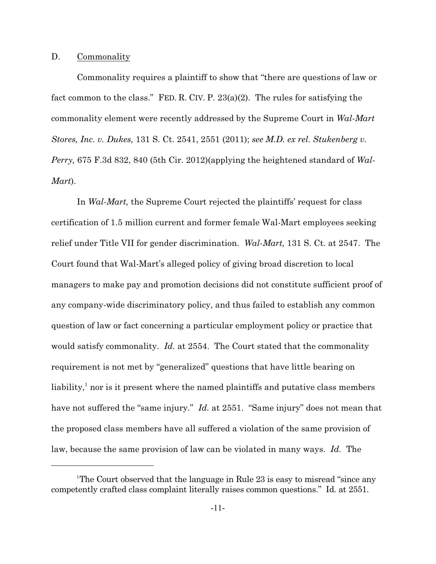# D. Commonality

Commonality requires a plaintiff to show that "there are questions of law or fact common to the class." FED. R. CIV. P.  $23(a)(2)$ . The rules for satisfying the commonality element were recently addressed by the Supreme Court in *Wal-Mart Stores, Inc. v. Dukes,* 131 S. Ct. 2541, 2551 (2011); *see M.D. ex rel. Stukenberg v. Perry,* 675 F.3d 832, 840 (5th Cir. 2012)(applying the heightened standard of *Wal-Mart*).

In *Wal-Mart,* the Supreme Court rejected the plaintiffs' request for class certification of 1.5 million current and former female Wal-Mart employees seeking relief under Title VII for gender discrimination. *Wal-Mart,* 131 S. Ct. at 2547. The Court found that Wal-Mart's alleged policy of giving broad discretion to local managers to make pay and promotion decisions did not constitute sufficient proof of any company-wide discriminatory policy, and thus failed to establish any common question of law or fact concerning a particular employment policy or practice that would satisfy commonality. *Id.* at 2554. The Court stated that the commonality requirement is not met by "generalized" questions that have little bearing on liability, $\frac{1}{1}$  nor is it present where the named plaintiffs and putative class members have not suffered the "same injury." *Id.* at 2551. "Same injury" does not mean that the proposed class members have all suffered a violation of the same provision of law, because the same provision of law can be violated in many ways. *Id.* The

<sup>&</sup>lt;sup>1</sup>The Court observed that the language in Rule 23 is easy to misread "since any competently crafted class complaint literally raises common questions." *Id.* at 2551.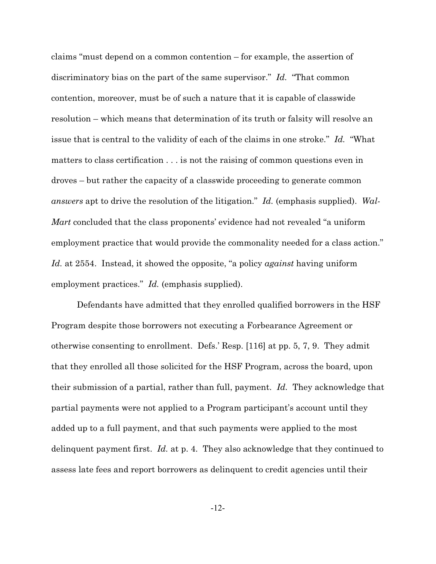claims "must depend on a common contention – for example, the assertion of discriminatory bias on the part of the same supervisor." *Id.* "That common contention, moreover, must be of such a nature that it is capable of classwide resolution – which means that determination of its truth or falsity will resolve an issue that is central to the validity of each of the claims in one stroke." *Id.* "What matters to class certification . . . is not the raising of common questions even in droves – but rather the capacity of a classwide proceeding to generate common *answers* apt to drive the resolution of the litigation." *Id.* (emphasis supplied). *Wal-Mart* concluded that the class proponents' evidence had not revealed "a uniform employment practice that would provide the commonality needed for a class action." *Id.* at 2554. Instead, it showed the opposite, "a policy *against* having uniform employment practices." *Id.* (emphasis supplied).

Defendants have admitted that they enrolled qualified borrowers in the HSF Program despite those borrowers not executing a Forbearance Agreement or otherwise consenting to enrollment. Defs.' Resp. [116] at pp. 5, 7, 9. They admit that they enrolled all those solicited for the HSF Program, across the board, upon their submission of a partial, rather than full, payment. *Id.* They acknowledge that partial payments were not applied to a Program participant's account until they added up to a full payment, and that such payments were applied to the most delinquent payment first. *Id.* at p. 4. They also acknowledge that they continued to assess late fees and report borrowers as delinquent to credit agencies until their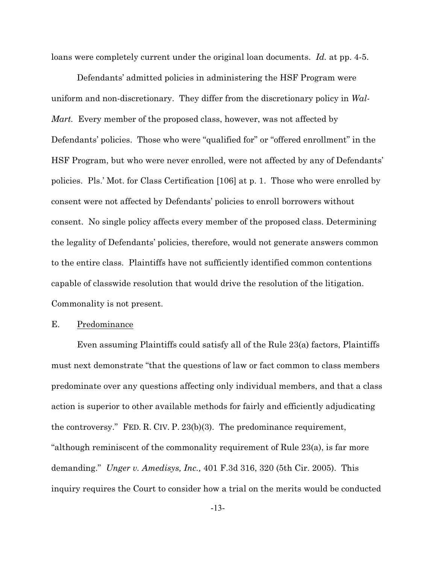loans were completely current under the original loan documents. *Id.* at pp. 4-5.

Defendants' admitted policies in administering the HSF Program were uniform and non-discretionary. They differ from the discretionary policy in *Wal-Mart.* Every member of the proposed class, however, was not affected by Defendants' policies. Those who were "qualified for" or "offered enrollment" in the HSF Program, but who were never enrolled, were not affected by any of Defendants' policies. Pls.' Mot. for Class Certification [106] at p. 1. Those who were enrolled by consent were not affected by Defendants' policies to enroll borrowers without consent. No single policy affects every member of the proposed class. Determining the legality of Defendants' policies, therefore, would not generate answers common to the entire class. Plaintiffs have not sufficiently identified common contentions capable of classwide resolution that would drive the resolution of the litigation. Commonality is not present.

### E. Predominance

Even assuming Plaintiffs could satisfy all of the Rule 23(a) factors, Plaintiffs must next demonstrate "that the questions of law or fact common to class members predominate over any questions affecting only individual members, and that a class action is superior to other available methods for fairly and efficiently adjudicating the controversy." FED. R. CIV. P. 23(b)(3). The predominance requirement, "although reminiscent of the commonality requirement of Rule 23(a), is far more demanding." *Unger v. Amedisys, Inc.,* 401 F.3d 316, 320 (5th Cir. 2005). This inquiry requires the Court to consider how a trial on the merits would be conducted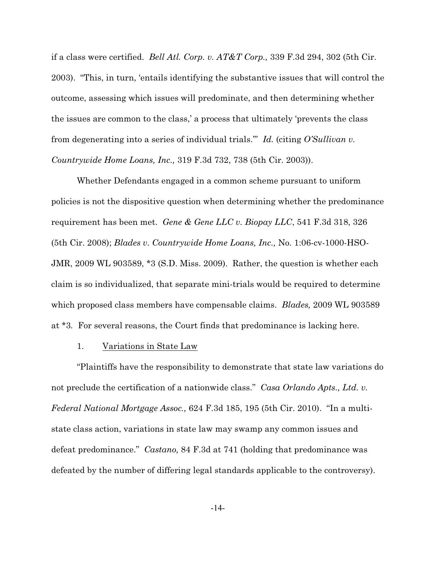if a class were certified. *Bell Atl. Corp. v. AT&T Corp.,* 339 F.3d 294, 302 (5th Cir. 2003). "This, in turn, 'entails identifying the substantive issues that will control the outcome, assessing which issues will predominate, and then determining whether the issues are common to the class,' a process that ultimately 'prevents the class from degenerating into a series of individual trials.'" *Id.* (citing *O'Sullivan v. Countrywide Home Loans, Inc.,* 319 F.3d 732, 738 (5th Cir. 2003)).

Whether Defendants engaged in a common scheme pursuant to uniform policies is not the dispositive question when determining whether the predominance requirement has been met. *Gene & Gene LLC v. Biopay LLC*, 541 F.3d 318, 326 (5th Cir. 2008); *Blades v. Countrywide Home Loans, Inc.,* No. 1:06-cv-1000-HSO-JMR, 2009 WL 903589, \*3 (S.D. Miss. 2009). Rather, the question is whether each claim is so individualized, that separate mini-trials would be required to determine which proposed class members have compensable claims. *Blades,* 2009 WL 903589 at \*3*.* For several reasons, the Court finds that predominance is lacking here.

## 1. Variations in State Law

"Plaintiffs have the responsibility to demonstrate that state law variations do not preclude the certification of a nationwide class." *Casa Orlando Apts., Ltd. v. Federal National Mortgage Assoc.,* 624 F.3d 185, 195 (5th Cir. 2010). "In a multistate class action, variations in state law may swamp any common issues and defeat predominance." *Castano,* 84 F.3d at 741 (holding that predominance was defeated by the number of differing legal standards applicable to the controversy).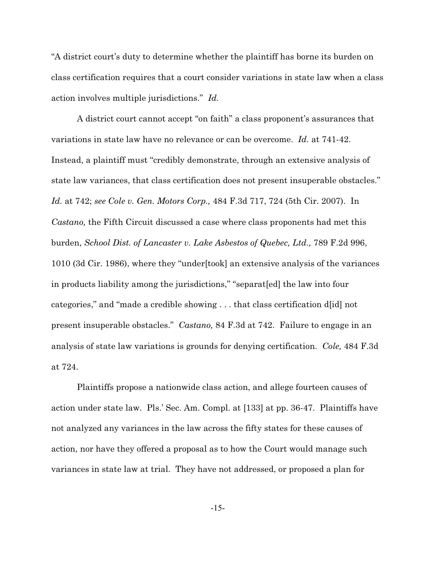"A district court's duty to determine whether the plaintiff has borne its burden on class certification requires that a court consider variations in state law when a class action involves multiple jurisdictions." *Id.*

A district court cannot accept "on faith" a class proponent's assurances that variations in state law have no relevance or can be overcome. *Id.* at 741-42. Instead, a plaintiff must "credibly demonstrate, through an extensive analysis of state law variances, that class certification does not present insuperable obstacles." *Id.* at 742; *see Cole v. Gen. Motors Corp.,* 484 F.3d 717, 724 (5th Cir. 2007). In *Castano,* the Fifth Circuit discussed a case where class proponents had met this burden, *School Dist. of Lancaster v. Lake Asbestos of Quebec, Ltd.,* 789 F.2d 996, 1010 (3d Cir. 1986), where they "under[took] an extensive analysis of the variances in products liability among the jurisdictions," "separat[ed] the law into four categories," and "made a credible showing . . . that class certification d[id] not present insuperable obstacles." *Castano,* 84 F.3d at 742. Failure to engage in an analysis of state law variations is grounds for denying certification. *Cole,* 484 F.3d at 724.

Plaintiffs propose a nationwide class action, and allege fourteen causes of action under state law. Pls.' Sec. Am. Compl. at [133] at pp. 36-47. Plaintiffs have not analyzed any variances in the law across the fifty states for these causes of action, nor have they offered a proposal as to how the Court would manage such variances in state law at trial. They have not addressed, or proposed a plan for

-15-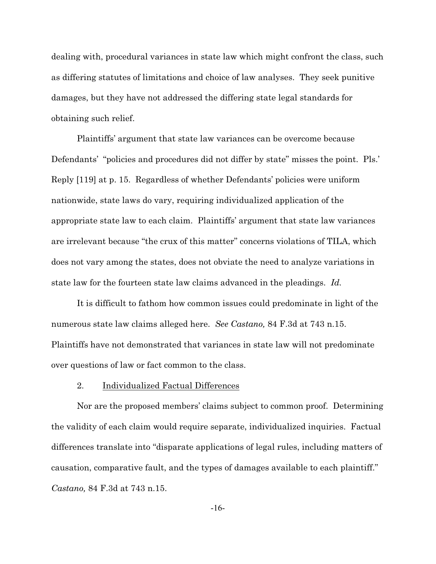dealing with, procedural variances in state law which might confront the class, such as differing statutes of limitations and choice of law analyses. They seek punitive damages, but they have not addressed the differing state legal standards for obtaining such relief.

Plaintiffs' argument that state law variances can be overcome because Defendants' "policies and procedures did not differ by state" misses the point. Pls.' Reply [119] at p. 15. Regardless of whether Defendants' policies were uniform nationwide, state laws do vary, requiring individualized application of the appropriate state law to each claim. Plaintiffs' argument that state law variances are irrelevant because "the crux of this matter" concerns violations of TILA, which does not vary among the states, does not obviate the need to analyze variations in state law for the fourteen state law claims advanced in the pleadings. *Id.*

It is difficult to fathom how common issues could predominate in light of the numerous state law claims alleged here. *See Castano,* 84 F.3d at 743 n.15. Plaintiffs have not demonstrated that variances in state law will not predominate over questions of law or fact common to the class.

## 2. Individualized Factual Differences

Nor are the proposed members' claims subject to common proof. Determining the validity of each claim would require separate, individualized inquiries. Factual differences translate into "disparate applications of legal rules, including matters of causation, comparative fault, and the types of damages available to each plaintiff." *Castano,* 84 F.3d at 743 n.15.

-16-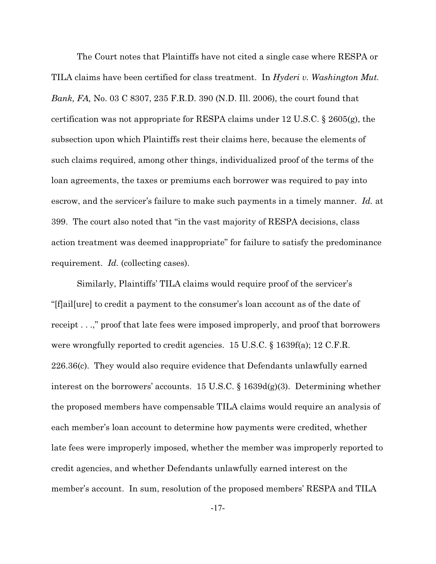The Court notes that Plaintiffs have not cited a single case where RESPA or TILA claims have been certified for class treatment. In *Hyderi v. Washington Mut. Bank, FA,* No. 03 C 8307, 235 F.R.D. 390 (N.D. Ill. 2006), the court found that certification was not appropriate for RESPA claims under 12 U.S.C. § 2605(g), the subsection upon which Plaintiffs rest their claims here, because the elements of such claims required, among other things, individualized proof of the terms of the loan agreements, the taxes or premiums each borrower was required to pay into escrow, and the servicer's failure to make such payments in a timely manner. *Id.* at 399. The court also noted that "in the vast majority of RESPA decisions, class action treatment was deemed inappropriate" for failure to satisfy the predominance requirement. *Id.* (collecting cases).

Similarly, Plaintiffs' TILA claims would require proof of the servicer's "[f]ail[ure] to credit a payment to the consumer's loan account as of the date of receipt . . .," proof that late fees were imposed improperly, and proof that borrowers were wrongfully reported to credit agencies. 15 U.S.C. § 1639f(a); 12 C.F.R. 226.36(c). They would also require evidence that Defendants unlawfully earned interest on the borrowers' accounts. 15 U.S.C. § 1639d(g)(3). Determining whether the proposed members have compensable TILA claims would require an analysis of each member's loan account to determine how payments were credited, whether late fees were improperly imposed, whether the member was improperly reported to credit agencies, and whether Defendants unlawfully earned interest on the member's account. In sum, resolution of the proposed members' RESPA and TILA

-17-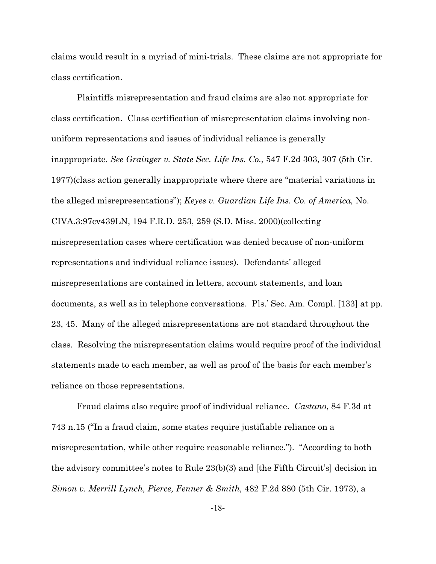claims would result in a myriad of mini-trials. These claims are not appropriate for class certification.

Plaintiffs misrepresentation and fraud claims are also not appropriate for class certification. Class certification of misrepresentation claims involving nonuniform representations and issues of individual reliance is generally inappropriate. *See Grainger v. State Sec. Life Ins. Co.,* 547 F.2d 303, 307 (5th Cir. 1977)(class action generally inappropriate where there are "material variations in the alleged misrepresentations"); *Keyes v. Guardian Life Ins. Co. of America,* No. CIVA.3:97cv439LN, 194 F.R.D. 253, 259 (S.D. Miss. 2000)(collecting misrepresentation cases where certification was denied because of non-uniform representations and individual reliance issues). Defendants' alleged misrepresentations are contained in letters, account statements, and loan documents, as well as in telephone conversations. Pls.' Sec. Am. Compl. [133] at pp. 23, 45. Many of the alleged misrepresentations are not standard throughout the class. Resolving the misrepresentation claims would require proof of the individual statements made to each member, as well as proof of the basis for each member's reliance on those representations.

Fraud claims also require proof of individual reliance. *Castano*, 84 F.3d at 743 n.15 ("In a fraud claim, some states require justifiable reliance on a misrepresentation, while other require reasonable reliance."). "According to both the advisory committee's notes to Rule 23(b)(3) and [the Fifth Circuit's] decision in *Simon v. Merrill Lynch, Pierce, Fenner & Smith,* 482 F.2d 880 (5th Cir. 1973), a

-18-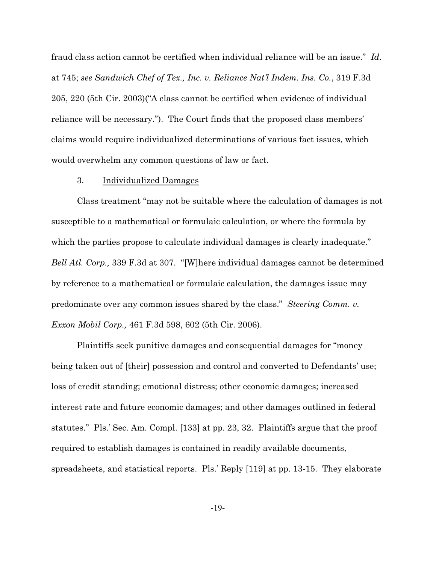fraud class action cannot be certified when individual reliance will be an issue." *Id.* at 745; *see Sandwich Chef of Tex., Inc. v. Reliance Nat'l Indem. Ins. Co.*, 319 F.3d 205, 220 (5th Cir. 2003)("A class cannot be certified when evidence of individual reliance will be necessary."). The Court finds that the proposed class members' claims would require individualized determinations of various fact issues, which would overwhelm any common questions of law or fact.

### 3. Individualized Damages

Class treatment "may not be suitable where the calculation of damages is not susceptible to a mathematical or formulaic calculation, or where the formula by which the parties propose to calculate individual damages is clearly inadequate." *Bell Atl. Corp.,* 339 F.3d at 307. "[W]here individual damages cannot be determined by reference to a mathematical or formulaic calculation, the damages issue may predominate over any common issues shared by the class." *Steering Comm. v. Exxon Mobil Corp.,* 461 F.3d 598, 602 (5th Cir. 2006).

Plaintiffs seek punitive damages and consequential damages for "money being taken out of [their] possession and control and converted to Defendants' use; loss of credit standing; emotional distress; other economic damages; increased interest rate and future economic damages; and other damages outlined in federal statutes." Pls.' Sec. Am. Compl. [133] at pp. 23, 32. Plaintiffs argue that the proof required to establish damages is contained in readily available documents, spreadsheets, and statistical reports. Pls.' Reply [119] at pp. 13-15. They elaborate

-19-